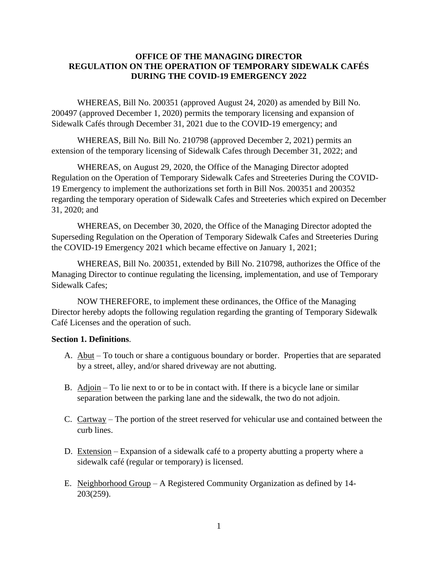#### **OFFICE OF THE MANAGING DIRECTOR REGULATION ON THE OPERATION OF TEMPORARY SIDEWALK CAFÉS DURING THE COVID-19 EMERGENCY 2022**

WHEREAS, Bill No. 200351 (approved August 24, 2020) as amended by Bill No. 200497 (approved December 1, 2020) permits the temporary licensing and expansion of Sidewalk Cafés through December 31, 2021 due to the COVID-19 emergency; and

WHEREAS, Bill No. Bill No. 210798 (approved December 2, 2021) permits an extension of the temporary licensing of Sidewalk Cafes through December 31, 2022; and

WHEREAS, on August 29, 2020, the Office of the Managing Director adopted Regulation on the Operation of Temporary Sidewalk Cafes and Streeteries During the COVID-19 Emergency to implement the authorizations set forth in Bill Nos. 200351 and 200352 regarding the temporary operation of Sidewalk Cafes and Streeteries which expired on December 31, 2020; and

WHEREAS, on December 30, 2020, the Office of the Managing Director adopted the Superseding Regulation on the Operation of Temporary Sidewalk Cafes and Streeteries During the COVID-19 Emergency 2021 which became effective on January 1, 2021;

WHEREAS, Bill No. 200351, extended by Bill No. 210798, authorizes the Office of the Managing Director to continue regulating the licensing, implementation, and use of Temporary Sidewalk Cafes;

NOW THEREFORE, to implement these ordinances, the Office of the Managing Director hereby adopts the following regulation regarding the granting of Temporary Sidewalk Café Licenses and the operation of such.

#### **Section 1. Definitions**.

- A. Abut To touch or share a contiguous boundary or border. Properties that are separated by a street, alley, and/or shared driveway are not abutting.
- B. Adjoin  $-$  To lie next to or to be in contact with. If there is a bicycle lane or similar separation between the parking lane and the sidewalk, the two do not adjoin.
- C. Cartway The portion of the street reserved for vehicular use and contained between the curb lines.
- D. Extension Expansion of a sidewalk café to a property abutting a property where a sidewalk café (regular or temporary) is licensed.
- E. Neighborhood Group A Registered Community Organization as defined by 14- 203(259).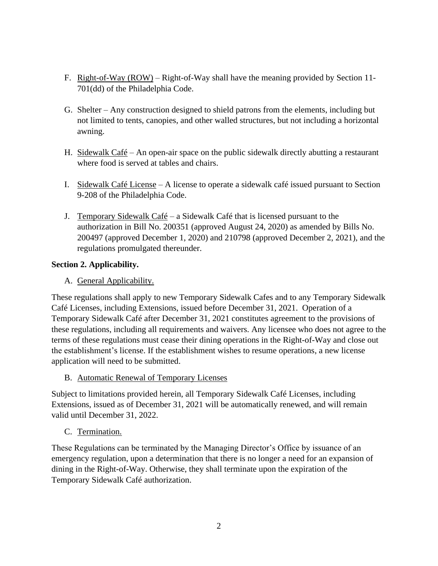- F. Right-of-Way (ROW) Right-of-Way shall have the meaning provided by Section 11- 701(dd) of the Philadelphia Code.
- G. Shelter Any construction designed to shield patrons from the elements, including but not limited to tents, canopies, and other walled structures, but not including a horizontal awning.
- H. Sidewalk Café An open-air space on the public sidewalk directly abutting a restaurant where food is served at tables and chairs.
- I. Sidewalk Café License A license to operate a sidewalk café issued pursuant to Section 9-208 of the Philadelphia Code.
- J. Temporary Sidewalk Café a Sidewalk Café that is licensed pursuant to the authorization in Bill No. 200351 (approved August 24, 2020) as amended by Bills No. 200497 (approved December 1, 2020) and 210798 (approved December 2, 2021), and the regulations promulgated thereunder.

# **Section 2. Applicability.**

A. General Applicability.

These regulations shall apply to new Temporary Sidewalk Cafes and to any Temporary Sidewalk Café Licenses, including Extensions, issued before December 31, 2021. Operation of a Temporary Sidewalk Café after December 31, 2021 constitutes agreement to the provisions of these regulations, including all requirements and waivers. Any licensee who does not agree to the terms of these regulations must cease their dining operations in the Right-of-Way and close out the establishment's license. If the establishment wishes to resume operations, a new license application will need to be submitted.

B. Automatic Renewal of Temporary Licenses

Subject to limitations provided herein, all Temporary Sidewalk Café Licenses, including Extensions, issued as of December 31, 2021 will be automatically renewed, and will remain valid until December 31, 2022.

C. Termination.

These Regulations can be terminated by the Managing Director's Office by issuance of an emergency regulation, upon a determination that there is no longer a need for an expansion of dining in the Right-of-Way. Otherwise, they shall terminate upon the expiration of the Temporary Sidewalk Café authorization.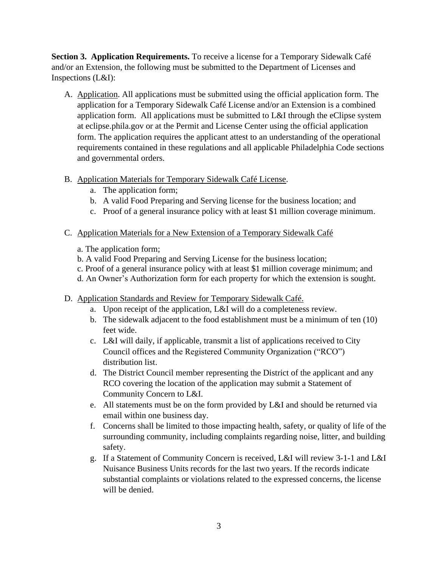**Section 3. Application Requirements.** To receive a license for a Temporary Sidewalk Café and/or an Extension, the following must be submitted to the Department of Licenses and Inspections (L&I):

- A. Application. All applications must be submitted using the official application form. The application for a Temporary Sidewalk Café License and/or an Extension is a combined application form. All applications must be submitted to L&I through the eClipse system at eclipse.phila.gov or at the Permit and License Center using the official application form. The application requires the applicant attest to an understanding of the operational requirements contained in these regulations and all applicable Philadelphia Code sections and governmental orders.
- B. Application Materials for Temporary Sidewalk Café License.
	- a. The application form;
	- b. A valid Food Preparing and Serving license for the business location; and
	- c. Proof of a general insurance policy with at least \$1 million coverage minimum.
- C. Application Materials for a New Extension of a Temporary Sidewalk Café
	- a. The application form;
	- b. A valid Food Preparing and Serving License for the business location;
	- c. Proof of a general insurance policy with at least \$1 million coverage minimum; and
	- d. An Owner's Authorization form for each property for which the extension is sought.
- D. Application Standards and Review for Temporary Sidewalk Café.
	- a. Upon receipt of the application, L&I will do a completeness review.
	- b. The sidewalk adjacent to the food establishment must be a minimum of ten (10) feet wide.
	- c. L&I will daily, if applicable, transmit a list of applications received to City Council offices and the Registered Community Organization ("RCO") distribution list.
	- d. The District Council member representing the District of the applicant and any RCO covering the location of the application may submit a Statement of Community Concern to L&I.
	- e. All statements must be on the form provided by L&I and should be returned via email within one business day.
	- f. Concerns shall be limited to those impacting health, safety, or quality of life of the surrounding community, including complaints regarding noise, litter, and building safety.
	- g. If a Statement of Community Concern is received, L&I will review 3-1-1 and L&I Nuisance Business Units records for the last two years. If the records indicate substantial complaints or violations related to the expressed concerns, the license will be denied.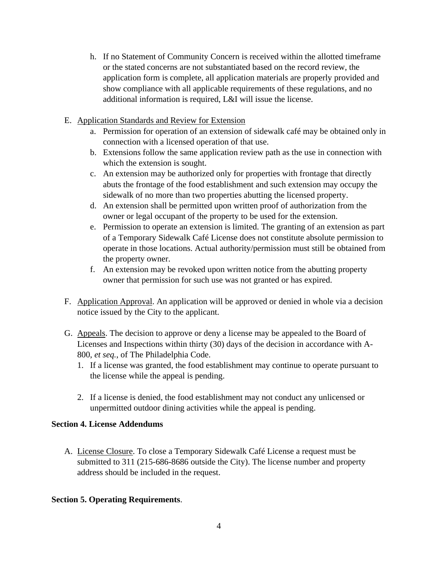- h. If no Statement of Community Concern is received within the allotted timeframe or the stated concerns are not substantiated based on the record review, the application form is complete, all application materials are properly provided and show compliance with all applicable requirements of these regulations, and no additional information is required, L&I will issue the license.
- E. Application Standards and Review for Extension
	- a. Permission for operation of an extension of sidewalk café may be obtained only in connection with a licensed operation of that use.
	- b. Extensions follow the same application review path as the use in connection with which the extension is sought.
	- c. An extension may be authorized only for properties with frontage that directly abuts the frontage of the food establishment and such extension may occupy the sidewalk of no more than two properties abutting the licensed property.
	- d. An extension shall be permitted upon written proof of authorization from the owner or legal occupant of the property to be used for the extension.
	- e. Permission to operate an extension is limited. The granting of an extension as part of a Temporary Sidewalk Café License does not constitute absolute permission to operate in those locations. Actual authority/permission must still be obtained from the property owner.
	- f. An extension may be revoked upon written notice from the abutting property owner that permission for such use was not granted or has expired.
- F. Application Approval. An application will be approved or denied in whole via a decision notice issued by the City to the applicant.
- G. Appeals. The decision to approve or deny a license may be appealed to the Board of Licenses and Inspections within thirty (30) days of the decision in accordance with A-800, *et seq.*, of The Philadelphia Code.
	- 1. If a license was granted, the food establishment may continue to operate pursuant to the license while the appeal is pending.
	- 2. If a license is denied, the food establishment may not conduct any unlicensed or unpermitted outdoor dining activities while the appeal is pending.

## **Section 4. License Addendums**

A. License Closure. To close a Temporary Sidewalk Café License a request must be submitted to 311 (215-686-8686 outside the City). The license number and property address should be included in the request.

## **Section 5. Operating Requirements**.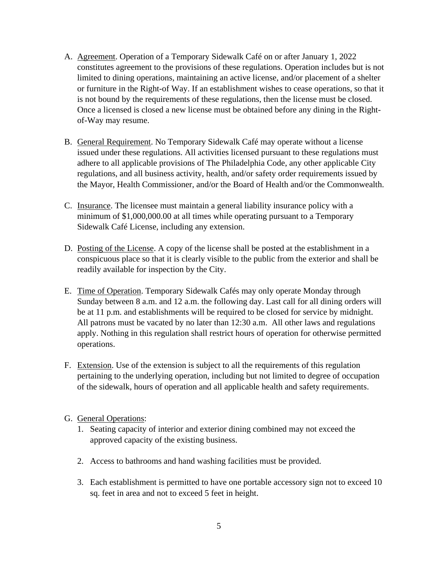- A. Agreement. Operation of a Temporary Sidewalk Café on or after January 1, 2022 constitutes agreement to the provisions of these regulations. Operation includes but is not limited to dining operations, maintaining an active license, and/or placement of a shelter or furniture in the Right-of Way. If an establishment wishes to cease operations, so that it is not bound by the requirements of these regulations, then the license must be closed. Once a licensed is closed a new license must be obtained before any dining in the Rightof-Way may resume.
- B. General Requirement. No Temporary Sidewalk Café may operate without a license issued under these regulations. All activities licensed pursuant to these regulations must adhere to all applicable provisions of The Philadelphia Code, any other applicable City regulations, and all business activity, health, and/or safety order requirements issued by the Mayor, Health Commissioner, and/or the Board of Health and/or the Commonwealth.
- C. Insurance. The licensee must maintain a general liability insurance policy with a minimum of \$1,000,000.00 at all times while operating pursuant to a Temporary Sidewalk Café License, including any extension.
- D. Posting of the License. A copy of the license shall be posted at the establishment in a conspicuous place so that it is clearly visible to the public from the exterior and shall be readily available for inspection by the City.
- E. Time of Operation. Temporary Sidewalk Cafés may only operate Monday through Sunday between 8 a.m. and 12 a.m. the following day. Last call for all dining orders will be at 11 p.m. and establishments will be required to be closed for service by midnight. All patrons must be vacated by no later than 12:30 a.m. All other laws and regulations apply. Nothing in this regulation shall restrict hours of operation for otherwise permitted operations.
- F. Extension. Use of the extension is subject to all the requirements of this regulation pertaining to the underlying operation, including but not limited to degree of occupation of the sidewalk, hours of operation and all applicable health and safety requirements.

## G. General Operations:

- 1. Seating capacity of interior and exterior dining combined may not exceed the approved capacity of the existing business.
- 2. Access to bathrooms and hand washing facilities must be provided.
- 3. Each establishment is permitted to have one portable accessory sign not to exceed 10 sq. feet in area and not to exceed 5 feet in height.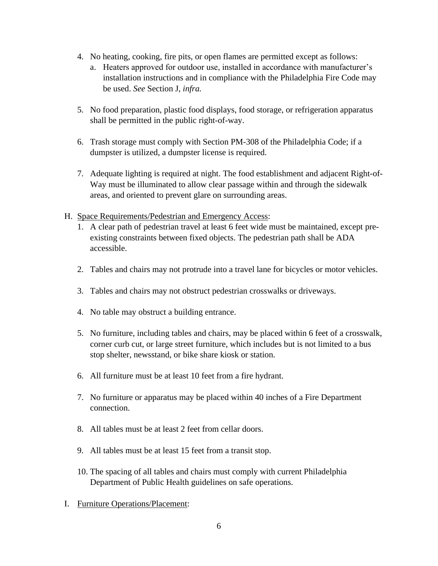- 4. No heating, cooking, fire pits, or open flames are permitted except as follows:
	- a. Heaters approved for outdoor use, installed in accordance with manufacturer's installation instructions and in compliance with the Philadelphia Fire Code may be used. *See* Section J, *infra.*
- 5. No food preparation, plastic food displays, food storage, or refrigeration apparatus shall be permitted in the public right-of-way.
- 6. Trash storage must comply with Section PM-308 of the Philadelphia Code; if a dumpster is utilized, a dumpster license is required.
- 7. Adequate lighting is required at night. The food establishment and adjacent Right-of-Way must be illuminated to allow clear passage within and through the sidewalk areas, and oriented to prevent glare on surrounding areas.
- H. Space Requirements/Pedestrian and Emergency Access:
	- 1. A clear path of pedestrian travel at least 6 feet wide must be maintained, except preexisting constraints between fixed objects. The pedestrian path shall be ADA accessible.
	- 2. Tables and chairs may not protrude into a travel lane for bicycles or motor vehicles.
	- 3. Tables and chairs may not obstruct pedestrian crosswalks or driveways.
	- 4. No table may obstruct a building entrance.
	- 5. No furniture, including tables and chairs, may be placed within 6 feet of a crosswalk, corner curb cut, or large street furniture, which includes but is not limited to a bus stop shelter, newsstand, or bike share kiosk or station.
	- 6. All furniture must be at least 10 feet from a fire hydrant.
	- 7. No furniture or apparatus may be placed within 40 inches of a Fire Department connection.
	- 8. All tables must be at least 2 feet from cellar doors.
	- 9. All tables must be at least 15 feet from a transit stop.
	- 10. The spacing of all tables and chairs must comply with current Philadelphia Department of Public Health guidelines on safe operations.
- I. Furniture Operations/Placement: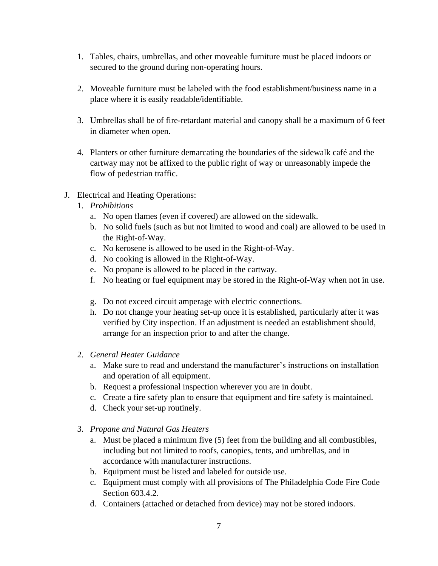- 1. Tables, chairs, umbrellas, and other moveable furniture must be placed indoors or secured to the ground during non-operating hours.
- 2. Moveable furniture must be labeled with the food establishment/business name in a place where it is easily readable/identifiable.
- 3. Umbrellas shall be of fire-retardant material and canopy shall be a maximum of 6 feet in diameter when open.
- 4. Planters or other furniture demarcating the boundaries of the sidewalk café and the cartway may not be affixed to the public right of way or unreasonably impede the flow of pedestrian traffic.
- J. Electrical and Heating Operations:
	- 1. *Prohibitions*
		- a. No open flames (even if covered) are allowed on the sidewalk.
		- b. No solid fuels (such as but not limited to wood and coal) are allowed to be used in the Right-of-Way.
		- c. No kerosene is allowed to be used in the Right-of-Way.
		- d. No cooking is allowed in the Right-of-Way.
		- e. No propane is allowed to be placed in the cartway.
		- f. No heating or fuel equipment may be stored in the Right-of-Way when not in use.
		- g. Do not exceed circuit amperage with electric connections.
		- h. Do not change your heating set-up once it is established, particularly after it was verified by City inspection. If an adjustment is needed an establishment should, arrange for an inspection prior to and after the change.
	- 2. *General Heater Guidance*
		- a. Make sure to read and understand the manufacturer's instructions on installation and operation of all equipment.
		- b. Request a professional inspection wherever you are in doubt.
		- c. Create a fire safety plan to ensure that equipment and fire safety is maintained.
		- d. Check your set-up routinely.
	- 3. *Propane and Natural Gas Heaters*
		- a. Must be placed a minimum five (5) feet from the building and all combustibles, including but not limited to roofs, canopies, tents, and umbrellas, and in accordance with manufacturer instructions.
		- b. Equipment must be listed and labeled for outside use.
		- c. Equipment must comply with all provisions of The Philadelphia Code Fire Code Section 603.4.2.
		- d. Containers (attached or detached from device) may not be stored indoors.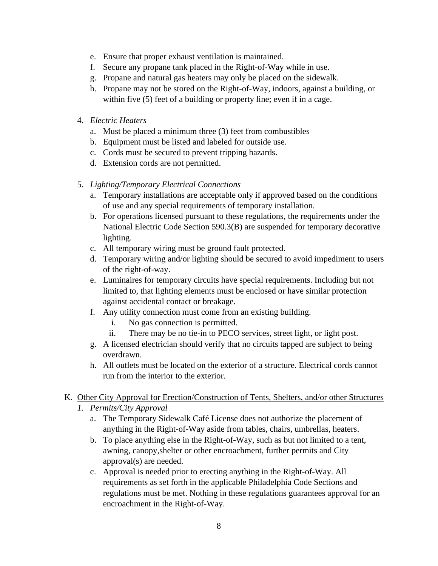- e. Ensure that proper exhaust ventilation is maintained.
- f. Secure any propane tank placed in the Right-of-Way while in use.
- g. Propane and natural gas heaters may only be placed on the sidewalk.
- h. Propane may not be stored on the Right-of-Way, indoors, against a building, or within five (5) feet of a building or property line; even if in a cage.
- 4. *Electric Heaters*
	- a. Must be placed a minimum three (3) feet from combustibles
	- b. Equipment must be listed and labeled for outside use.
	- c. Cords must be secured to prevent tripping hazards.
	- d. Extension cords are not permitted.

# 5. *Lighting/Temporary Electrical Connections*

- a. Temporary installations are acceptable only if approved based on the conditions of use and any special requirements of temporary installation.
- b. For operations licensed pursuant to these regulations, the requirements under the National Electric Code Section 590.3(B) are suspended for temporary decorative lighting.
- c. All temporary wiring must be ground fault protected.
- d. Temporary wiring and/or lighting should be secured to avoid impediment to users of the right-of-way.
- e. Luminaires for temporary circuits have special requirements. Including but not limited to, that lighting elements must be enclosed or have similar protection against accidental contact or breakage.
- f. Any utility connection must come from an existing building.
	- i. No gas connection is permitted.
	- ii. There may be no tie-in to PECO services, street light, or light post.
- g. A licensed electrician should verify that no circuits tapped are subject to being overdrawn.
- h. All outlets must be located on the exterior of a structure. Electrical cords cannot run from the interior to the exterior.

# K. Other City Approval for Erection/Construction of Tents, Shelters, and/or other Structures

- *1. Permits/City Approval*
	- a. The Temporary Sidewalk Café License does not authorize the placement of anything in the Right-of-Way aside from tables, chairs, umbrellas, heaters.
	- b. To place anything else in the Right-of-Way, such as but not limited to a tent, awning, canopy,shelter or other encroachment, further permits and City approval(s) are needed.
	- c. Approval is needed prior to erecting anything in the Right-of-Way. All requirements as set forth in the applicable Philadelphia Code Sections and regulations must be met. Nothing in these regulations guarantees approval for an encroachment in the Right-of-Way.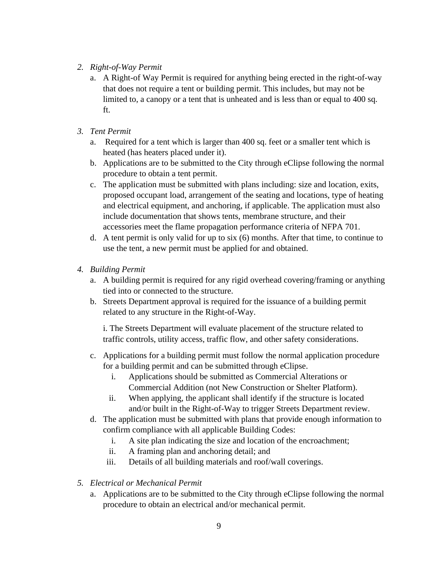- *2. Right-of-Way Permit*
	- a. A Right-of Way Permit is required for anything being erected in the right-of-way that does not require a tent or building permit. This includes, but may not be limited to, a canopy or a tent that is unheated and is less than or equal to 400 sq. ft.
- *3. Tent Permit*
	- a. Required for a tent which is larger than 400 sq. feet or a smaller tent which is heated (has heaters placed under it).
	- b. Applications are to be submitted to the City through eClipse following the normal procedure to obtain a tent permit.
	- c. The application must be submitted with plans including: size and location, exits, proposed occupant load, arrangement of the seating and locations, type of heating and electrical equipment, and anchoring, if applicable. The application must also include documentation that shows tents, membrane structure, and their accessories meet the flame propagation performance criteria of NFPA 701.
	- d. A tent permit is only valid for up to six (6) months. After that time, to continue to use the tent, a new permit must be applied for and obtained.
- *4. Building Permit*
	- a. A building permit is required for any rigid overhead covering/framing or anything tied into or connected to the structure.
	- b. Streets Department approval is required for the issuance of a building permit related to any structure in the Right-of-Way.

i. The Streets Department will evaluate placement of the structure related to traffic controls, utility access, traffic flow, and other safety considerations.

- c. Applications for a building permit must follow the normal application procedure for a building permit and can be submitted through eClipse.
	- i. Applications should be submitted as Commercial Alterations or Commercial Addition (not New Construction or Shelter Platform).
	- ii. When applying, the applicant shall identify if the structure is located and/or built in the Right-of-Way to trigger Streets Department review.
- d. The application must be submitted with plans that provide enough information to confirm compliance with all applicable Building Codes:
	- i. A site plan indicating the size and location of the encroachment;
	- ii. A framing plan and anchoring detail; and
	- iii. Details of all building materials and roof/wall coverings.
- *5. Electrical or Mechanical Permit*
	- a. Applications are to be submitted to the City through eClipse following the normal procedure to obtain an electrical and/or mechanical permit.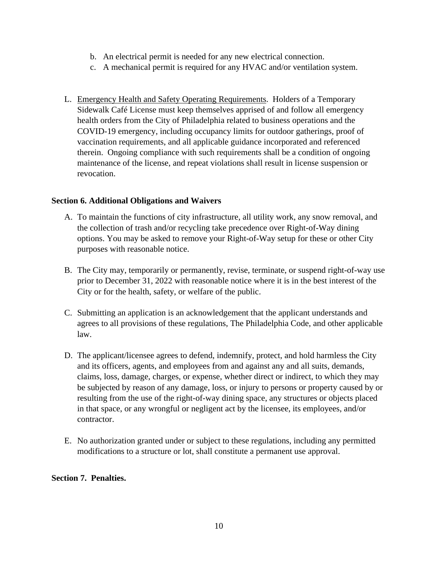- b. An electrical permit is needed for any new electrical connection.
- c. A mechanical permit is required for any HVAC and/or ventilation system.
- L. Emergency Health and Safety Operating Requirements. Holders of a Temporary Sidewalk Café License must keep themselves apprised of and follow all emergency health orders from the City of Philadelphia related to business operations and the COVID-19 emergency, including occupancy limits for outdoor gatherings, proof of vaccination requirements, and all applicable guidance incorporated and referenced therein. Ongoing compliance with such requirements shall be a condition of ongoing maintenance of the license, and repeat violations shall result in license suspension or revocation.

#### **Section 6. Additional Obligations and Waivers**

- A. To maintain the functions of city infrastructure, all utility work, any snow removal, and the collection of trash and/or recycling take precedence over Right-of-Way dining options. You may be asked to remove your Right-of-Way setup for these or other City purposes with reasonable notice.
- B. The City may, temporarily or permanently, revise, terminate, or suspend right-of-way use prior to December 31, 2022 with reasonable notice where it is in the best interest of the City or for the health, safety, or welfare of the public.
- C. Submitting an application is an acknowledgement that the applicant understands and agrees to all provisions of these regulations, The Philadelphia Code, and other applicable law.
- D. The applicant/licensee agrees to defend, indemnify, protect, and hold harmless the City and its officers, agents, and employees from and against any and all suits, demands, claims, loss, damage, charges, or expense, whether direct or indirect, to which they may be subjected by reason of any damage, loss, or injury to persons or property caused by or resulting from the use of the right-of-way dining space, any structures or objects placed in that space, or any wrongful or negligent act by the licensee, its employees, and/or contractor.
- E. No authorization granted under or subject to these regulations, including any permitted modifications to a structure or lot, shall constitute a permanent use approval.

## **Section 7. Penalties.**